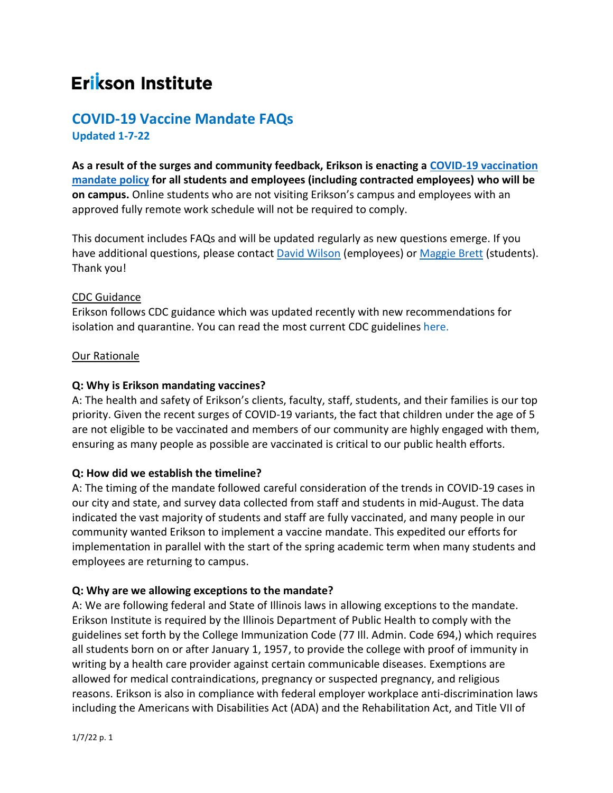# **Erikson Institute**

## **COVID-19 Vaccine Mandate FAQs Updated 1-7-22**

**As a result of the surges and community feedback, Erikson is enacting a [COVID-19 vaccination](https://erikson.sharepoint.com/:b:/s/Home/EdD_sAkO_CNNu_q0ZUPnNrIBd5SfNFB-rDoY5qdrG50Rbg?e=2uXhde)  [mandate policy](https://erikson.sharepoint.com/:b:/s/Home/EdD_sAkO_CNNu_q0ZUPnNrIBd5SfNFB-rDoY5qdrG50Rbg?e=2uXhde) for all students and employees (including contracted employees) who will be on campus.** Online students who are not visiting Erikson's campus and employees with an approved fully remote work schedule will not be required to comply.

This document includes FAQs and will be updated regularly as new questions emerge. If you have additional questions, please contact [David Wilson](mailto:dwilson@erikson.edu) (employees) or [Maggie Brett](mailto:mbrett@erikson.edu) (students). Thank you!

#### CDC Guidance

Erikson follows CDC guidance which was updated recently with new recommendations for isolation and quarantine. You can read the most current CDC guidelines [here.](https://www.cdc.gov/coronavirus/2019-ncov/your-health/quarantine-isolation.html)

#### Our Rationale

## **Q: Why is Erikson mandating vaccines?**

A: The health and safety of Erikson's clients, faculty, staff, students, and their families is our top priority. Given the recent surges of COVID-19 variants, the fact that children under the age of 5 are not eligible to be vaccinated and members of our community are highly engaged with them, ensuring as many people as possible are vaccinated is critical to our public health efforts.

## **Q: How did we establish the timeline?**

A: The timing of the mandate followed careful consideration of the trends in COVID-19 cases in our city and state, and survey data collected from staff and students in mid-August. The data indicated the vast majority of students and staff are fully vaccinated, and many people in our community wanted Erikson to implement a vaccine mandate. This expedited our efforts for implementation in parallel with the start of the spring academic term when many students and employees are returning to campus.

#### **Q: Why are we allowing exceptions to the mandate?**

A: We are following federal and State of Illinois laws in allowing exceptions to the mandate. Erikson Institute is required by the Illinois Department of Public Health to comply with the guidelines set forth by the College Immunization Code (77 Ill. Admin. Code 694,) which requires all students born on or after January 1, 1957, to provide the college with proof of immunity in writing by a health care provider against certain communicable diseases. Exemptions are allowed for medical contraindications, pregnancy or suspected pregnancy, and religious reasons. Erikson is also in compliance with federal employer workplace anti-discrimination laws including the Americans with Disabilities Act (ADA) and the Rehabilitation Act, and Title VII of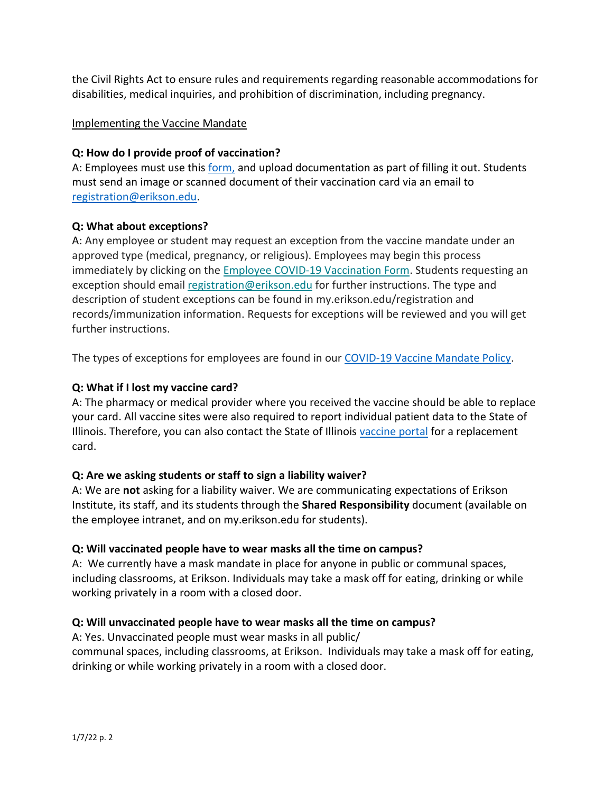the Civil Rights Act to ensure rules and requirements regarding reasonable accommodations for disabilities, medical inquiries, and prohibition of discrimination, including pregnancy.

## Implementing the Vaccine Mandate

## **Q: How do I provide proof of vaccination?**

A: Employees must use this [form,](https://forms.office.com/Pages/ResponsePage.aspx?id=wltmnPDhUki-JY2n-M8k2_1yhYB8K75Ig4KUH57BKcdUNldLTU1LQllDRkhKNzlNV0RBT0cySEZBVCQlQCN0PWcu) and upload documentation as part of filling it out. Students must send an image or scanned document of their vaccination card via an email to [registration@erikson.edu.](mailto:registration@erikson.edu)

## **Q: What about exceptions?**

A: Any employee or student may request an exception from the vaccine mandate under an approved type (medical, pregnancy, or religious). Employees may begin this process immediately by clicking on the [Employee COVID-19 Vaccination Form.](https://erikson.us1.list-manage.com/track/click?u=26e063ef9667f3504c1066383&id=80a9d02da1&e=cdb9f82a53) Students requesting an exception should emai[l registration@erikson.edu](mailto:registration@erikson.edu) for further instructions. The type and description of student exceptions can be found in my.erikson.edu/registration and records/immunization information. Requests for exceptions will be reviewed and you will get further instructions.

The types of exceptions for employees are found in our [COVID-19 Vaccine Mandate Policy.](https://erikson.sharepoint.com/:b:/s/Home/EdD_sAkO_CNNu_q0ZUPnNrIBd5SfNFB-rDoY5qdrG50Rbg?e=2uXhde)

## **Q: What if I lost my vaccine card?**

A: The pharmacy or medical provider where you received the vaccine should be able to replace your card. All vaccine sites were also required to report individual patient data to the State of Illinois. Therefore, you can also contact the State of Illinois [vaccine portal](https://idphportal.illinois.gov/s/?language=en_US) for a replacement card.

#### **Q: Are we asking students or staff to sign a liability waiver?**

A: We are **not** asking for a liability waiver. We are communicating expectations of Erikson Institute, its staff, and its students through the **Shared Responsibility** document (available on the employee intranet, and on my.erikson.edu for students).

#### **Q: Will vaccinated people have to wear masks all the time on campus?**

A: We currently have a mask mandate in place for anyone in public or communal spaces, including classrooms, at Erikson. Individuals may take a mask off for eating, drinking or while working privately in a room with a closed door.

## **Q: Will unvaccinated people have to wear masks all the time on campus?**

A: Yes. Unvaccinated people must wear masks in all public/ communal spaces, including classrooms, at Erikson. Individuals may take a mask off for eating, drinking or while working privately in a room with a closed door.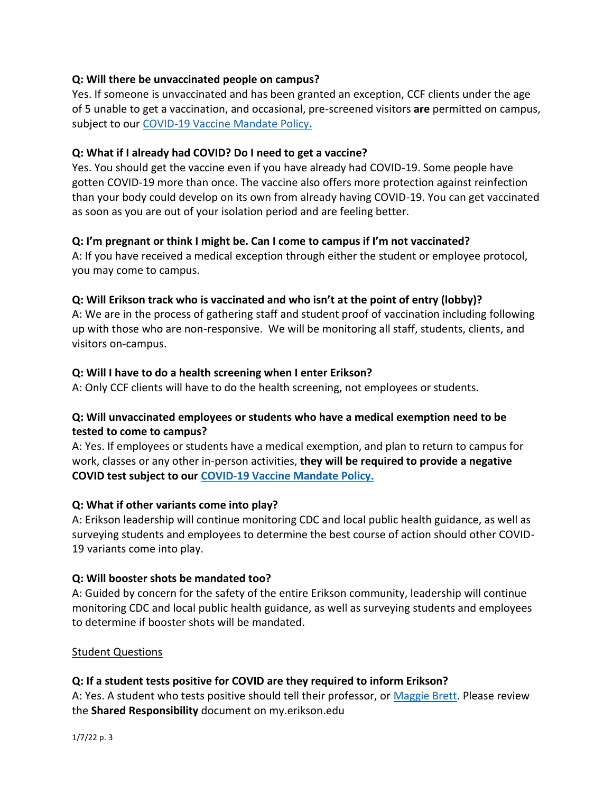## **Q: Will there be unvaccinated people on campus?**

Yes. If someone is unvaccinated and has been granted an exception, CCF clients under the age of 5 unable to get a vaccination, and occasional, pre-screened visitors **are** permitted on campus, subject to our [COVID-19 Vaccine Mandate Policy](https://erikson.sharepoint.com/:b:/s/Home/EdD_sAkO_CNNu_q0ZUPnNrIBd5SfNFB-rDoY5qdrG50Rbg?e=2uXhde)**.**

#### **Q: What if I already had COVID? Do I need to get a vaccine?**

Yes. You should get the vaccine even if you have already had COVID-19. Some people have gotten COVID-19 more than once. The vaccine also offers more protection against reinfection than your body could develop on its own from already having COVID-19. You can get vaccinated as soon as you are out of your isolation period and are feeling better.

#### **Q: I'm pregnant or think I might be. Can I come to campus if I'm not vaccinated?**

A: If you have received a medical exception through either the student or employee protocol, you may come to campus.

#### **Q: Will Erikson track who is vaccinated and who isn't at the point of entry (lobby)?**

A: We are in the process of gathering staff and student proof of vaccination including following up with those who are non-responsive. We will be monitoring all staff, students, clients, and visitors on-campus.

#### **Q: Will I have to do a health screening when I enter Erikson?**

A: Only CCF clients will have to do the health screening, not employees or students.

## **Q: Will unvaccinated employees or students who have a medical exemption need to be tested to come to campus?**

A: Yes. If employees or students have a medical exemption, and plan to return to campus for work, classes or any other in-person activities, **they will be required to provide a negative COVID test subject to our [COVID-19 Vaccine Mandate Policy.](https://erikson.sharepoint.com/:b:/s/Home/EdD_sAkO_CNNu_q0ZUPnNrIBd5SfNFB-rDoY5qdrG50Rbg?e=2uXhde)**

#### **Q: What if other variants come into play?**

A: Erikson leadership will continue monitoring CDC and local public health guidance, as well as surveying students and employees to determine the best course of action should other COVID-19 variants come into play.

#### **Q: Will booster shots be mandated too?**

A: Guided by concern for the safety of the entire Erikson community, leadership will continue monitoring CDC and local public health guidance, as well as surveying students and employees to determine if booster shots will be mandated.

#### Student Questions

#### **Q: If a student tests positive for COVID are they required to inform Erikson?**

A: Yes. A student who tests positive should tell their professor, or [Maggie Brett.](mailto:mbrett@erikson.edu) Please review the **Shared Responsibility** document on my.erikson.edu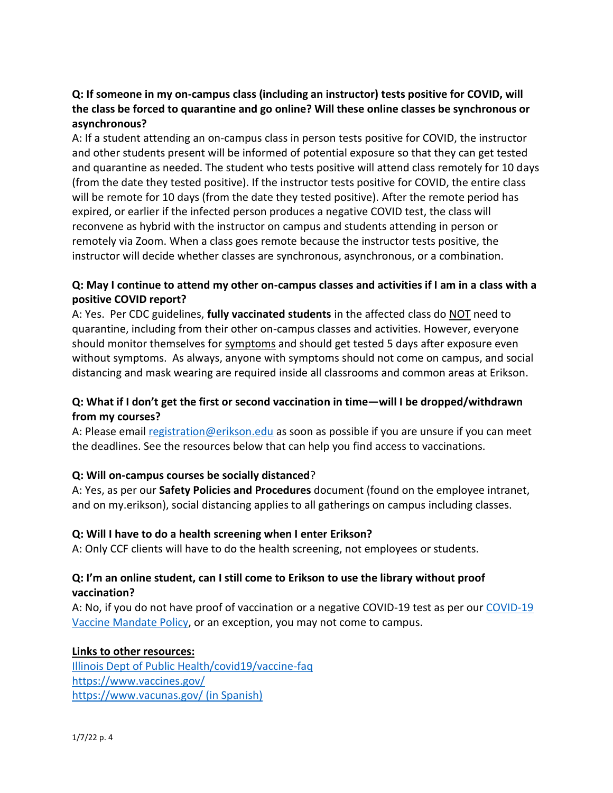## **Q: If someone in my on-campus class (including an instructor) tests positive for COVID, will the class be forced to quarantine and go online? Will these online classes be synchronous or asynchronous?**

A: If a student attending an on-campus class in person tests positive for COVID, the instructor and other students present will be informed of potential exposure so that they can get tested and quarantine as needed. The student who tests positive will attend class remotely for 10 days (from the date they tested positive). If the instructor tests positive for COVID, the entire class will be remote for 10 days (from the date they tested positive). After the remote period has expired, or earlier if the infected person produces a negative COVID test, the class will reconvene as hybrid with the instructor on campus and students attending in person or remotely via Zoom. When a class goes remote because the instructor tests positive, the instructor will decide whether classes are synchronous, asynchronous, or a combination.

## **Q: May I continue to attend my other on-campus classes and activities if I am in a class with a positive COVID report?**

A: Yes. Per CDC guidelines, **fully vaccinated students** in the affected class do NOT need to quarantine, including from their other on-campus classes and activities. However, everyone should monitor themselves for [symptoms](https://www.cdc.gov/coronavirus/2019-ncov/symptoms-testing/symptoms.html) and should get tested 5 days after exposure even without symptoms. As always, anyone with symptoms should not come on campus, and social distancing and mask wearing are required inside all classrooms and common areas at Erikson.

## **Q: What if I don't get the first or second vaccination in time—will I be dropped/withdrawn from my courses?**

A: Please email [registration@erikson.edu](mailto:registration@erikson.edu) as soon as possible if you are unsure if you can meet the deadlines. See the resources below that can help you find access to vaccinations.

## **Q: Will on-campus courses be socially distanced**?

A: Yes, as per our **Safety Policies and Procedures** document (found on the employee intranet, and on my.erikson), social distancing applies to all gatherings on campus including classes.

## **Q: Will I have to do a health screening when I enter Erikson?**

A: Only CCF clients will have to do the health screening, not employees or students.

## **Q: I'm an online student, can I still come to Erikson to use the library without proof vaccination?**

A: No, if you do not have proof of vaccination or a negative COVID-19 test as per ou[r COVID-19](https://erikson.sharepoint.com/:b:/s/Home/EdD_sAkO_CNNu_q0ZUPnNrIBd5SfNFB-rDoY5qdrG50Rbg?e=2uXhde)  [Vaccine Mandate Policy,](https://erikson.sharepoint.com/:b:/s/Home/EdD_sAkO_CNNu_q0ZUPnNrIBd5SfNFB-rDoY5qdrG50Rbg?e=2uXhde) or an exception, you may not come to campus.

## **Links to other resources:**

[Illinois Dept of Public Health/covid19/vaccine-faq](https://www.dph.illinois.gov/covid19/vaccine-faq) <https://www.vaccines.gov/> [https://www.vacunas.gov/ \(in Spanish\)](https://www.vacunas.gov/)